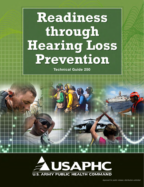# Readiness through **Hearing Loss** Prevention

Technical Guide 250

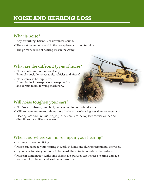# **NOISE AND HEARING LOSS**

### What is noise?

- $\checkmark$  Any disturbing, harmful, or unwanted sound.
- $\checkmark$  The most common hazard in the workplace or during training.
- $\checkmark$  The primary cause of hearing loss in the Army.

# What are the different types of noise?

- $\checkmark$  Noise can be continuous, or steady. Examples include power tools, vehicles and aircraft.
- $\checkmark$  Noise can also be impulsive. Examples include explosions, weapons fire and certain metal-forming machinery.



# Will noise toughen your ears?

- $\checkmark$  No! Noise destroys your ability to hear and to understand speech.
- $\checkmark$  Military veterans are four times more likely to have hearing loss than non-veterans.
- $\checkmark$  Hearing loss and tinnitus (ringing in the ears) are the top two service connected disabilities for military veterans.

### When and where can noise impair your hearing?

- $\checkmark$  During any weapon firing.
- $\checkmark$  Noise can damage your hearing at work, at home and during recreational activities.
- $\checkmark$  If you have to raise your voice to be heard, the noise is considered hazardous.
- $\checkmark$  Noise in combination with some chemical exposures can increase hearing damage, for example, toluene, lead, carbon monoxide, etc.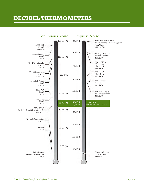# **DECIBEL THERMOMETERS**

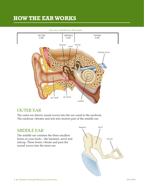# **HOW THE EAR WORKS**



*Your ear is divided into three parts.*

### OUTER EAR

The outer ear directs sound waves into the ear canal to the eardrum. The eardrum vibrates and sets into motion part of the middle ear.

### MIDDLE EAR

The middle ear contains the three smallest bones in your body—the hammer, anvil and stirrup. These bones vibrate and pass the sound waves into the inner ear.

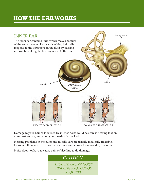# **HOW THE EAR WORKS**



Damage to your hair cells caused by intense noise could be seen as hearing loss on your next audiogram when your hearing is checked.

Hearing problems in the outer and middle ears are usually medically treatable. However, there is no proven cure for inner ear hearing loss caused by the noise.

Noise does not have to cause pain or bleeding to do damage.

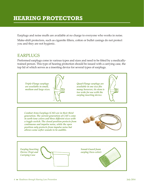# **HEARING PROTECTORS**

Earplugs and noise muffs are available at no charge to everyone who works in noise.

Make-shift protectors, such as cigarette filters, cotton or bullet casings do not protect you and they are not hygienic.

# EARPLUGS

Preformed earplugs come in various types and sizes and need to be fitted by a medicallytrained person. This type of hearing protection should be issued with a carrying case, the top lid of which serves as a inserting device for several types of earplugs.

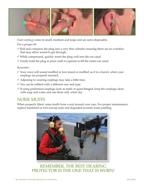

*Foam earplugs* come in small, medium and large and are semi-disposable.

For a proper fit:

- $\checkmark$  Roll and compress the plug into a very thin cylinder ensuring there are no wrinkles that may allow sound to get through.
- $\checkmark$  While compressed, quickly insert the plug well into the ear canal.
- $\checkmark$  Gently hold the plug in place until it expands to fill the entire ear canal.

#### *Remember:*

- $\checkmark$  Your voice will sound muffled or low-toned or muffled, as if in a barrel, when your earplugs are properly inserted.
- $\checkmark$  Adjusting to wearing earplugs may take a little time.
- $\checkmark$  You can be refitted with a different size and type.
- $\checkmark$  If using preformed earplugs such as triple or quad flanged, keep the earplugs clean with soap and water and use them only when dry.

### NOISE MUFFS

When properly fitted, noise muffs form a seal around your ears. For proper maintenance, replace hardened or torn earcup seals and degraded acoustic foam padding.



### REMEMBER, THE BEST HEARING PROTECTOR IS THE ONE THAT IS WORN!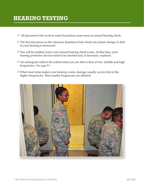# **HEARING TESTING**

- $\checkmark$  All personnel who work in noise-hazardous areas need an annual hearing check.
- $\checkmark$  The first test serves as the reference (baseline) from which any future change or shift in your hearing is measured.
- $\checkmark$  You will be notified when your annual hearing check is due. At that time, your hearing protective devices need to be checked and, if necessary, replaced.
- $\checkmark$  An audiogram reflects the softest tones you are able to hear at low, middle and high frequencies. *(See page 9.)*
- $\checkmark$  When loud noise makes your hearing worse, damage usually occurs first in the higher frequencies. Then nearby frequencies are affected.

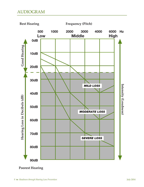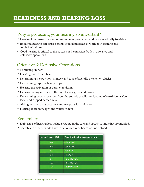# **READINESS AND HEARING LOSS**

# Why is protecting your hearing so important?

- $\checkmark$  Hearing loss caused by loud noise becomes permanent and is not medically treatable.
- $\checkmark$  Impaired hearing can cause serious or fatal mistakes at work or in training and combat situations.
- $\checkmark$  Good hearing is critical to the success of the mission, both in offensive and defensive operations.

# Offensive & Defensive Operations

- $\checkmark$  Localizing snipers
- $\checkmark$  Locating patrol members
- $\checkmark$  Determining the position, number and type of friendly or enemy vehicles
- $\checkmark$  Determining types of booby traps
- $\checkmark$  Hearing the activation of perimeter alarms
- $\checkmark$  Hearing enemy movement through leaves, grass and twigs
- $\checkmark$  Determining enemy locations from the sounds of wildlife, loading of cartridges, safety locks and clipped barbed wire
- $\checkmark$  Aiding in small arms accuracy and weapons identification
- $\checkmark$  Hearing radio messages and verbal orders

### Remember:

- $\checkmark$  Early signs of hearing loss include ringing in the ears and speech sounds that are muffled.
- $\checkmark$  Speech and other sounds have to be louder to be heard or understood.

| Noise Level, dBA | Permitted daily exposure time |
|------------------|-------------------------------|
| 85               | <b>8 HOURS</b>                |
| 88               | 4 HOURS                       |
| 91               | 2 HOUR                        |
| 94               | 1 HOUR                        |
| 97               | <b>30 MINUTES</b>             |
| 100              | <b>15 MINUTES</b>             |
| 103              | <b>7.5 MINUTES</b>            |
|                  |                               |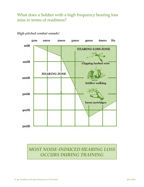What does a Soldier with a high frequency hearing loss miss in terms of readiness?



#### *High-pitched combat sounds!*

*MOST NOISE-INDUCED HEARING LOSS OCCURS DURING TRAINING*